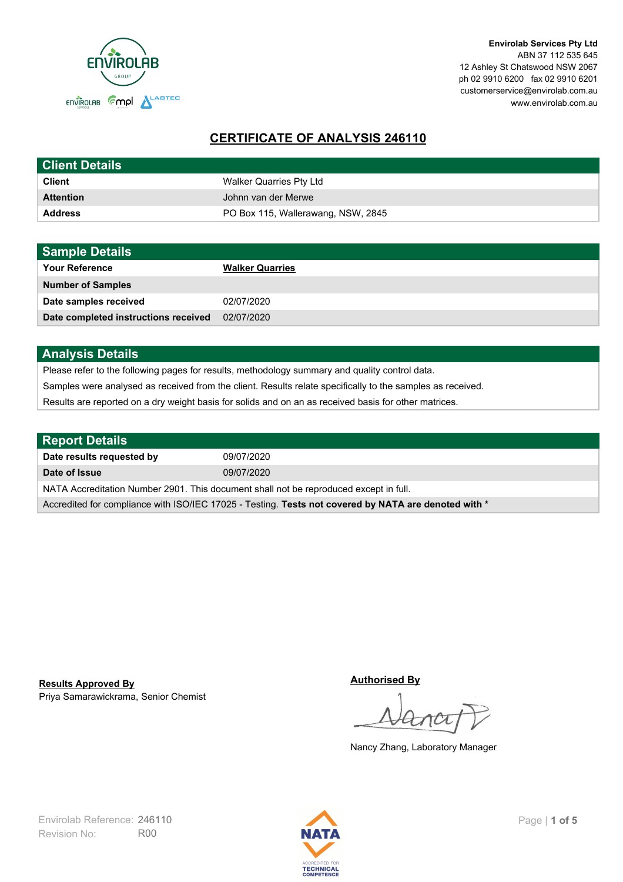

**Envirolab Services Pty Ltd** ABN 37 112 535 645 12 Ashley St Chatswood NSW 2067 ph 02 9910 6200 fax 02 9910 6201 customerservice@envirolab.com.au www.envirolab.com.au

# **CERTIFICATE OF ANALYSIS 246110**

| <b>Client Details</b> |                                    |
|-----------------------|------------------------------------|
| <b>Client</b>         | Walker Quarries Pty Ltd            |
| <b>Attention</b>      | Johnn van der Merwe                |
| <b>Address</b>        | PO Box 115, Wallerawang, NSW, 2845 |

| <b>Sample Details</b>                |                        |
|--------------------------------------|------------------------|
| <b>Your Reference</b>                | <b>Walker Quarries</b> |
| <b>Number of Samples</b>             |                        |
| Date samples received                | 02/07/2020             |
| Date completed instructions received | 02/07/2020             |

### **Analysis Details**

Please refer to the following pages for results, methodology summary and quality control data.

Samples were analysed as received from the client. Results relate specifically to the samples as received.

Results are reported on a dry weight basis for solids and on an as received basis for other matrices.

| <b>Report Details</b>                                                                                |            |  |
|------------------------------------------------------------------------------------------------------|------------|--|
| Date results requested by                                                                            | 09/07/2020 |  |
| Date of Issue                                                                                        | 09/07/2020 |  |
| NATA Accreditation Number 2901. This document shall not be reproduced except in full.                |            |  |
| Accredited for compliance with ISO/IEC 17025 - Testing. Tests not covered by NATA are denoted with * |            |  |

Priya Samarawickrama, Senior Chemist **Results Approved By**

**Authorised By**

Nancy Zhang, Laboratory Manager

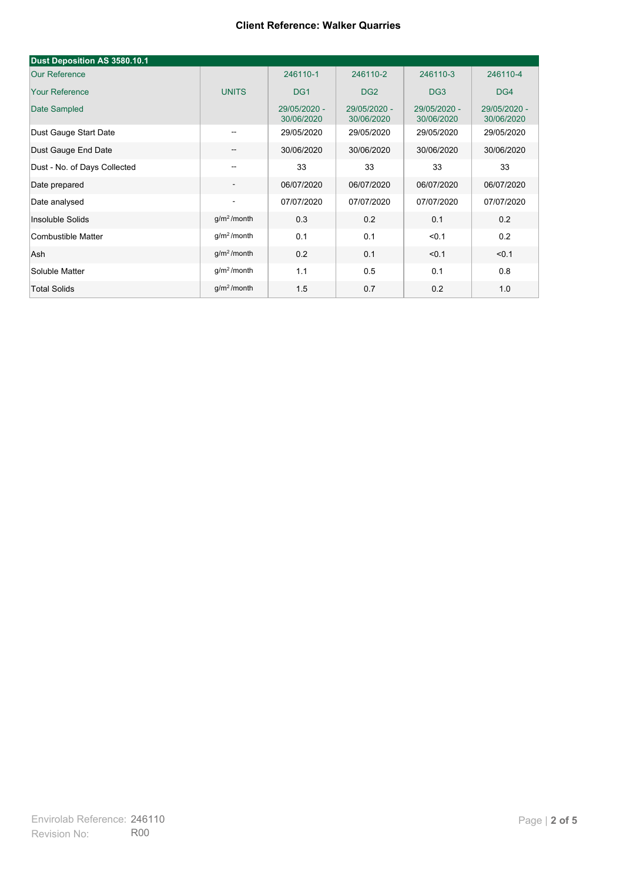| Dust Deposition AS 3580.10.1 |                          |                            |                            |                            |                            |
|------------------------------|--------------------------|----------------------------|----------------------------|----------------------------|----------------------------|
| <b>Our Reference</b>         |                          | 246110-1                   | 246110-2                   | 246110-3                   | 246110-4                   |
| <b>Your Reference</b>        | <b>UNITS</b>             | DG <sub>1</sub>            | DG <sub>2</sub>            | DG <sub>3</sub>            | DG4                        |
| Date Sampled                 |                          | 29/05/2020 -<br>30/06/2020 | 29/05/2020 -<br>30/06/2020 | 29/05/2020 -<br>30/06/2020 | 29/05/2020 -<br>30/06/2020 |
| Dust Gauge Start Date        | $\overline{\phantom{m}}$ | 29/05/2020                 | 29/05/2020                 | 29/05/2020                 | 29/05/2020                 |
| Dust Gauge End Date          | $\overline{\phantom{a}}$ | 30/06/2020                 | 30/06/2020                 | 30/06/2020                 | 30/06/2020                 |
| Dust - No. of Days Collected |                          | 33                         | 33                         | 33                         | 33                         |
| Date prepared                | $\overline{\phantom{a}}$ | 06/07/2020                 | 06/07/2020                 | 06/07/2020                 | 06/07/2020                 |
| Date analysed                |                          | 07/07/2020                 | 07/07/2020                 | 07/07/2020                 | 07/07/2020                 |
| Insoluble Solids             | g/m <sup>2</sup> /month  | 0.3                        | 0.2                        | 0.1                        | 0.2                        |
| Combustible Matter           | $g/m2$ /month            | 0.1                        | 0.1                        | < 0.1                      | 0.2                        |
| Ash                          | g/m <sup>2</sup> /month  | 0.2                        | 0.1                        | < 0.1                      | < 0.1                      |
| Soluble Matter               | g/m <sup>2</sup> /month  | 1.1                        | 0.5                        | 0.1                        | 0.8                        |
| <b>Total Solids</b>          | $q/m^2$ /month           | 1.5                        | 0.7                        | 0.2                        | 1.0                        |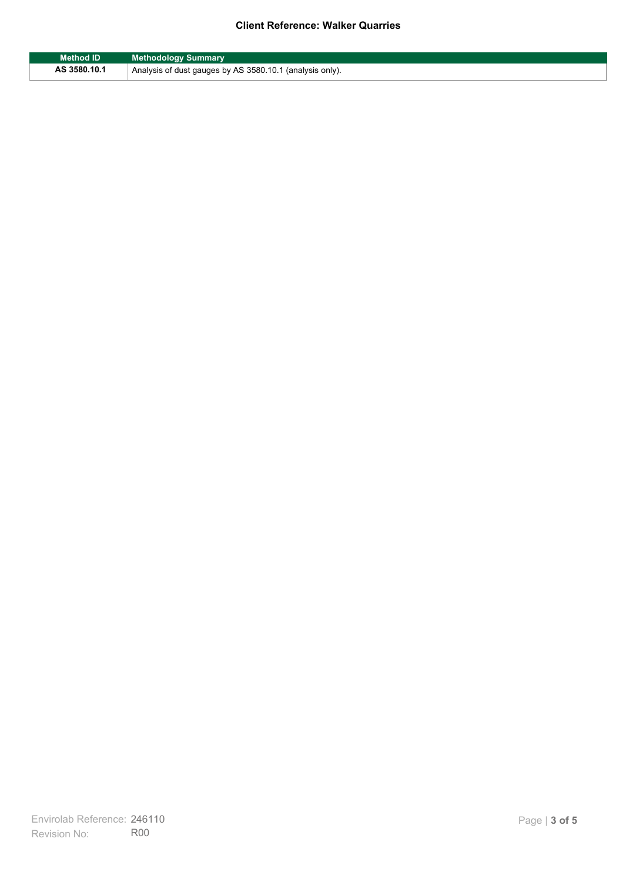| Method ID    | <b>Methodology Summary</b>                                            |
|--------------|-----------------------------------------------------------------------|
| AS 3580.10.1 | <sup>1</sup> Analysis of dust gauges by AS 3580.10.1 (analysis only). |

F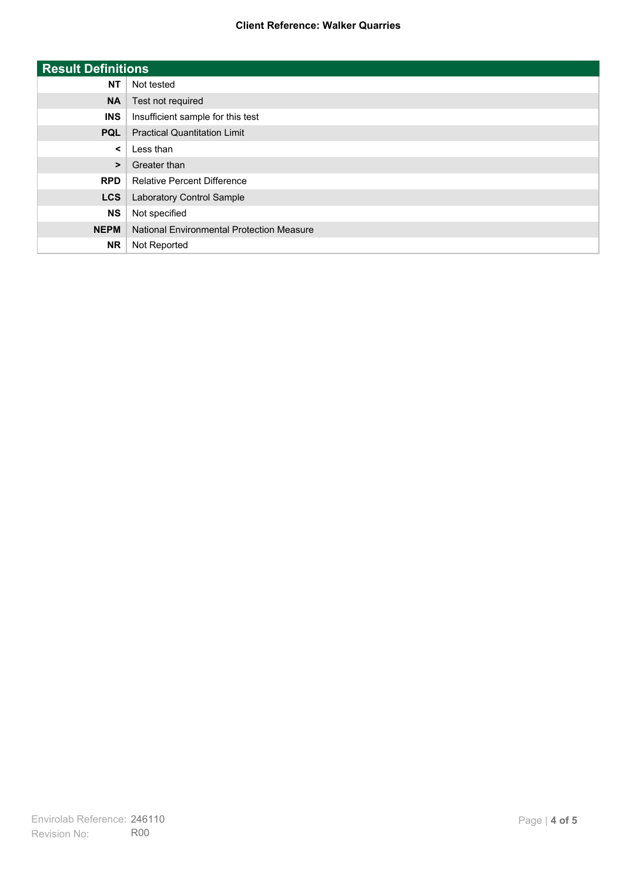| <b>Result Definitions</b> |                                           |
|---------------------------|-------------------------------------------|
| <b>NT</b>                 | Not tested                                |
| <b>NA</b>                 | Test not required                         |
| <b>INS</b>                | Insufficient sample for this test         |
| <b>PQL</b>                | <b>Practical Quantitation Limit</b>       |
| $\prec$                   | Less than                                 |
| $\geq$                    | Greater than                              |
| <b>RPD</b>                | <b>Relative Percent Difference</b>        |
| <b>LCS</b>                | Laboratory Control Sample                 |
| <b>NS</b>                 | Not specified                             |
| <b>NEPM</b>               | National Environmental Protection Measure |
| <b>NR</b>                 | Not Reported                              |